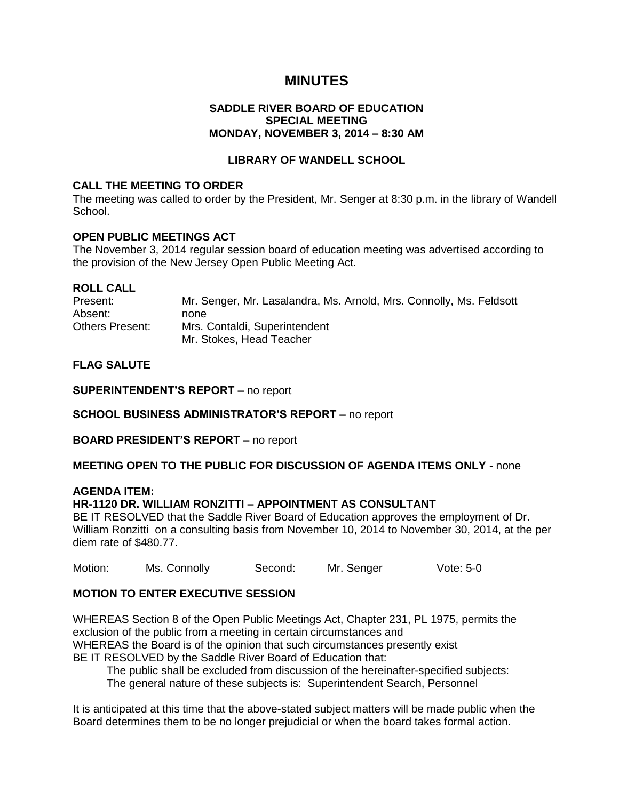# **MINUTES**

## **SADDLE RIVER BOARD OF EDUCATION SPECIAL MEETING MONDAY, NOVEMBER 3, 2014 – 8:30 AM**

## **LIBRARY OF WANDELL SCHOOL**

### **CALL THE MEETING TO ORDER**

The meeting was called to order by the President, Mr. Senger at 8:30 p.m. in the library of Wandell School.

#### **OPEN PUBLIC MEETINGS ACT**

The November 3, 2014 regular session board of education meeting was advertised according to the provision of the New Jersey Open Public Meeting Act.

| <b>ROLL CALL</b>       |                                                                     |
|------------------------|---------------------------------------------------------------------|
| Present:               | Mr. Senger, Mr. Lasalandra, Ms. Arnold, Mrs. Connolly, Ms. Feldsott |
| Absent:                | none                                                                |
| <b>Others Present:</b> | Mrs. Contaldi, Superintendent                                       |
|                        | Mr. Stokes, Head Teacher                                            |

## **FLAG SALUTE**

**SUPERINTENDENT'S REPORT –** no report

**SCHOOL BUSINESS ADMINISTRATOR'S REPORT –** no report

**BOARD PRESIDENT'S REPORT –** no report

#### **MEETING OPEN TO THE PUBLIC FOR DISCUSSION OF AGENDA ITEMS ONLY -** none

#### **AGENDA ITEM:**

## **HR-1120 DR. WILLIAM RONZITTI – APPOINTMENT AS CONSULTANT**

BE IT RESOLVED that the Saddle River Board of Education approves the employment of Dr. William Ronzitti on a consulting basis from November 10, 2014 to November 30, 2014, at the per diem rate of \$480.77.

Motion: Ms. Connolly Second: Mr. Senger Vote: 5-0

## **MOTION TO ENTER EXECUTIVE SESSION**

WHEREAS Section 8 of the Open Public Meetings Act, Chapter 231, PL 1975, permits the exclusion of the public from a meeting in certain circumstances and WHEREAS the Board is of the opinion that such circumstances presently exist BE IT RESOLVED by the Saddle River Board of Education that:

The public shall be excluded from discussion of the hereinafter-specified subjects:

The general nature of these subjects is: Superintendent Search, Personnel

It is anticipated at this time that the above-stated subject matters will be made public when the Board determines them to be no longer prejudicial or when the board takes formal action.